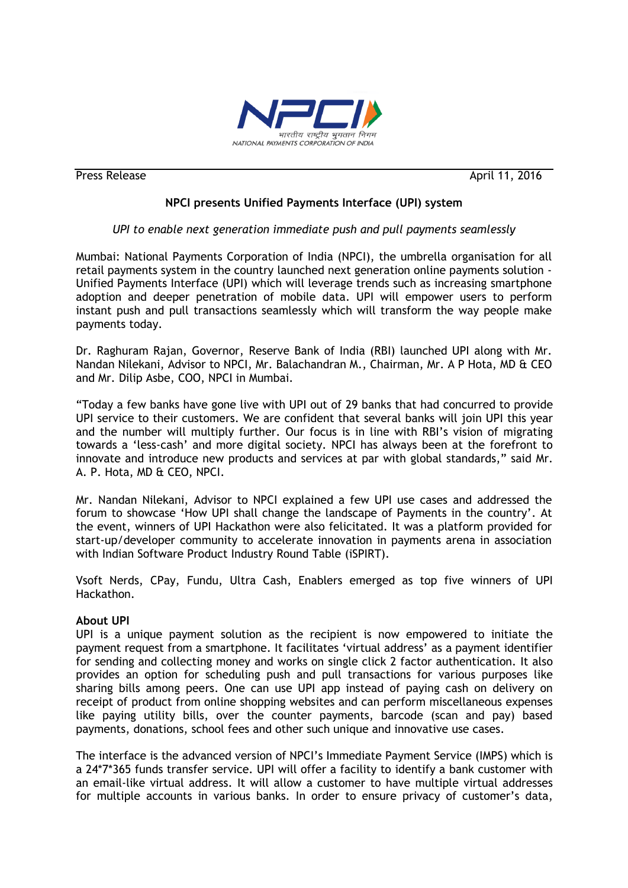

Press Release **April 11, 2016** 

# **NPCI presents Unified Payments Interface (UPI) system**

## *UPI to enable next generation immediate push and pull payments seamlessly*

Mumbai: National Payments Corporation of India (NPCI), the umbrella organisation for all retail payments system in the country launched next generation online payments solution - Unified Payments Interface (UPI) which will leverage trends such as increasing smartphone adoption and deeper penetration of mobile data. UPI will empower users to perform instant push and pull transactions seamlessly which will transform the way people make payments today.

Dr. Raghuram Rajan, Governor, Reserve Bank of India (RBI) launched UPI along with Mr. Nandan Nilekani, Advisor to NPCI, Mr. Balachandran M., Chairman, Mr. A P Hota, MD & CEO and Mr. Dilip Asbe, COO, NPCI in Mumbai.

"Today a few banks have gone live with UPI out of 29 banks that had concurred to provide UPI service to their customers. We are confident that several banks will join UPI this year and the number will multiply further. Our focus is in line with RBI"s vision of migrating towards a "less-cash" and more digital society. NPCI has always been at the forefront to innovate and introduce new products and services at par with global standards," said Mr. A. P. Hota, MD & CEO, NPCI.

Mr. Nandan Nilekani, Advisor to NPCI explained a few UPI use cases and addressed the forum to showcase "How UPI shall change the landscape of Payments in the country". At the event, winners of UPI Hackathon were also felicitated. It was a platform provided for start-up/developer community to accelerate innovation in payments arena in association with Indian Software Product Industry Round Table (iSPIRT).

Vsoft Nerds, CPay, Fundu, Ultra Cash, Enablers emerged as top five winners of UPI Hackathon.

## **About UPI**

UPI is a unique payment solution as the recipient is now empowered to initiate the payment request from a smartphone. It facilitates "virtual address" as a payment identifier for sending and collecting money and works on single click 2 factor authentication. It also provides an option for scheduling push and pull transactions for various purposes like sharing bills among peers. One can use UPI app instead of paying cash on delivery on receipt of product from online shopping websites and can perform miscellaneous expenses like paying utility bills, over the counter payments, barcode (scan and pay) based payments, donations, school fees and other such unique and innovative use cases.

The interface is the advanced version of NPCI"s Immediate Payment Service (IMPS) which is a 24\*7\*365 funds transfer service. UPI will offer a facility to identify a bank customer with an email-like virtual address. It will allow a customer to have multiple virtual addresses for multiple accounts in various banks. In order to ensure privacy of customer"s data,